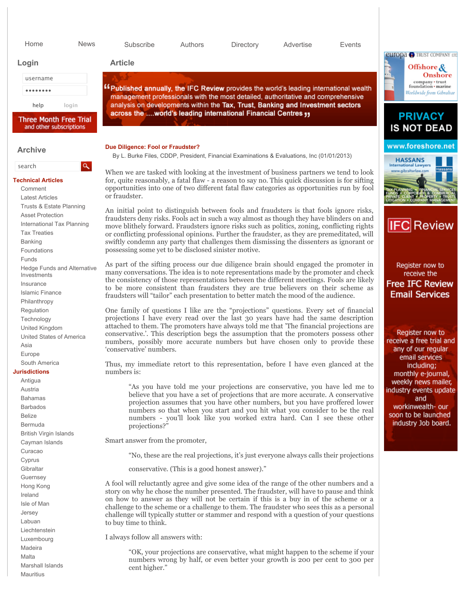| Home                                                                                                                                      | <b>News</b>  | Subscribe                                                                                                                                                                                                                                                                                                                                                                                                                                                                                                                              | Authors                                                                                                                                                                                                                                                                                                                                                                                                                    | Directory                                                                                                                                                       | Advertise | Events |                                                                                                  |
|-------------------------------------------------------------------------------------------------------------------------------------------|--------------|----------------------------------------------------------------------------------------------------------------------------------------------------------------------------------------------------------------------------------------------------------------------------------------------------------------------------------------------------------------------------------------------------------------------------------------------------------------------------------------------------------------------------------------|----------------------------------------------------------------------------------------------------------------------------------------------------------------------------------------------------------------------------------------------------------------------------------------------------------------------------------------------------------------------------------------------------------------------------|-----------------------------------------------------------------------------------------------------------------------------------------------------------------|-----------|--------|--------------------------------------------------------------------------------------------------|
| Login                                                                                                                                     |              | <b>Article</b>                                                                                                                                                                                                                                                                                                                                                                                                                                                                                                                         |                                                                                                                                                                                                                                                                                                                                                                                                                            |                                                                                                                                                                 |           |        | <b>europa P</b> TRUST COMPANY LTD                                                                |
| username                                                                                                                                  |              |                                                                                                                                                                                                                                                                                                                                                                                                                                                                                                                                        |                                                                                                                                                                                                                                                                                                                                                                                                                            |                                                                                                                                                                 |           |        | Offshore &<br>Onshore                                                                            |
| .                                                                                                                                         |              | "Published annually, the IFC Review provides the world's leading international wealth                                                                                                                                                                                                                                                                                                                                                                                                                                                  |                                                                                                                                                                                                                                                                                                                                                                                                                            |                                                                                                                                                                 |           |        | company · trust<br>foundation · marine                                                           |
|                                                                                                                                           |              | management professionals with the most detailed, authoritative and comprehensive                                                                                                                                                                                                                                                                                                                                                                                                                                                       |                                                                                                                                                                                                                                                                                                                                                                                                                            |                                                                                                                                                                 |           |        | Worldwide from Gibraltar                                                                         |
| help                                                                                                                                      | login        | analysis on developments within the Tax, Trust, Banking and Investment sectors<br>across the world's leading international Financial Centres 11                                                                                                                                                                                                                                                                                                                                                                                        |                                                                                                                                                                                                                                                                                                                                                                                                                            |                                                                                                                                                                 |           |        |                                                                                                  |
| <b>Three Month Free Trial</b><br>and other subscriptions                                                                                  |              |                                                                                                                                                                                                                                                                                                                                                                                                                                                                                                                                        |                                                                                                                                                                                                                                                                                                                                                                                                                            |                                                                                                                                                                 |           |        | <b>PRIVACY</b><br><b>IS NOT DEAD</b>                                                             |
| <b>Archive</b>                                                                                                                            |              | Due Diligence: Fool or Fraudster?<br>By L. Burke Files, CDDP, President, Financial Examinations & Evaluations, Inc (01/01/2013)                                                                                                                                                                                                                                                                                                                                                                                                        |                                                                                                                                                                                                                                                                                                                                                                                                                            |                                                                                                                                                                 |           |        | www.foreshore.net                                                                                |
| search                                                                                                                                    | $\mathbf{a}$ |                                                                                                                                                                                                                                                                                                                                                                                                                                                                                                                                        |                                                                                                                                                                                                                                                                                                                                                                                                                            |                                                                                                                                                                 |           |        | <b>HASSANS</b><br><b>International Lawyers</b><br>fassan<br>www.gibraltarlaw.com                 |
| <b>Technical Articles</b><br>Comment<br><b>Latest Articles</b>                                                                            |              | When we are tasked with looking at the investment of business partners we tend to look<br>for, quite reasonably, a fatal flaw - a reason to say no. This quick discussion is for sifting<br>opportunities into one of two different fatal flaw categories as opportunities run by fool<br>or fraudster.                                                                                                                                                                                                                                |                                                                                                                                                                                                                                                                                                                                                                                                                            |                                                                                                                                                                 |           |        |                                                                                                  |
| Trusts & Estate Planning<br><b>Asset Protection</b><br>International Tax Planning<br><b>Tax Treaties</b><br><b>Banking</b><br>Foundations |              | An initial point to distinguish between fools and fraudsters is that fools ignore risks,<br>fraudsters deny risks. Fools act in such a way almost as though they have blinders on and<br>move blithely forward. Fraudsters ignore risks such as politics, zoning, conflicting rights<br>or conflicting professional opinions. Further the fraudster, as they are premeditated, will<br>swiftly condemn any party that challenges them dismissing the dissenters as ignorant or<br>possessing some yet to be disclosed sinister motive. |                                                                                                                                                                                                                                                                                                                                                                                                                            |                                                                                                                                                                 |           |        | IFCI<br><b>Review</b>                                                                            |
| <b>Funds</b><br><b>Hedge Funds and Alternative</b><br>Investments<br>Insurance<br><b>Islamic Finance</b><br>Philanthropy                  |              | As part of the sifting process our due diligence brain should engaged the promoter in<br>many conversations. The idea is to note representations made by the promoter and check<br>the consistency of those representations between the different meetings. Fools are likely<br>to be more consistent than fraudsters they are true believers on their scheme as<br>fraudsters will "tailor" each presentation to better match the mood of the audience.                                                                               |                                                                                                                                                                                                                                                                                                                                                                                                                            |                                                                                                                                                                 |           |        | Register now to<br>receive the<br><b>Free IFC Review</b><br><b>Email Services</b>                |
| Regulation<br>Technology<br>United Kingdom<br>United States of America<br>Asia<br>Europe                                                  |              | One family of questions I like are the "projections" questions. Every set of financial<br>projections I have every read over the last 30 years have had the same description<br>attached to them. The promoters have always told me that 'The financial projections are<br>conservative.'. This description begs the assumption that the promoters possess other<br>numbers, possibly more accurate numbers but have chosen only to provide these<br>'conservative' numbers.                                                           |                                                                                                                                                                                                                                                                                                                                                                                                                            |                                                                                                                                                                 |           |        | Register now to<br>receive a free trial and<br>any of our regular                                |
| South America<br><b>Jurisdictions</b>                                                                                                     |              | Thus, my immediate retort to this representation, before I have even glanced at the<br>numbers is:                                                                                                                                                                                                                                                                                                                                                                                                                                     |                                                                                                                                                                                                                                                                                                                                                                                                                            |                                                                                                                                                                 |           |        | email services<br>including;                                                                     |
| Antigua                                                                                                                                   |              |                                                                                                                                                                                                                                                                                                                                                                                                                                                                                                                                        |                                                                                                                                                                                                                                                                                                                                                                                                                            |                                                                                                                                                                 |           |        | monthly e-journal,<br>weekly news mailer,                                                        |
| Austria<br><b>Bahamas</b><br><b>Barbados</b><br><b>Belize</b><br>Bermuda<br><b>British Virgin Islands</b>                                 |              |                                                                                                                                                                                                                                                                                                                                                                                                                                                                                                                                        | "As you have told me your projections are conservative, you have led me to<br>believe that you have a set of projections that are more accurate. A conservative<br>projection assumes that you have other numbers, but you have proffered lower<br>numbers so that when you start and you hit what you consider to be the real<br>numbers - you'll look like you worked extra hard. Can I see these other<br>projections?" |                                                                                                                                                                 |           |        | industry events update<br>and<br>workinwealth- our<br>soon to be launched<br>industry Job board. |
| Cayman Islands<br>Curacao                                                                                                                 |              | Smart answer from the promoter,                                                                                                                                                                                                                                                                                                                                                                                                                                                                                                        |                                                                                                                                                                                                                                                                                                                                                                                                                            |                                                                                                                                                                 |           |        |                                                                                                  |
| Cyprus                                                                                                                                    |              |                                                                                                                                                                                                                                                                                                                                                                                                                                                                                                                                        |                                                                                                                                                                                                                                                                                                                                                                                                                            | "No, these are the real projections, it's just everyone always calls their projections                                                                          |           |        |                                                                                                  |
| Gibraltar                                                                                                                                 |              |                                                                                                                                                                                                                                                                                                                                                                                                                                                                                                                                        |                                                                                                                                                                                                                                                                                                                                                                                                                            | conservative. (This is a good honest answer)."                                                                                                                  |           |        |                                                                                                  |
| Guernsey<br>Hong Kong<br>Ireland<br>Isle of Man<br>Jersey<br>Labuan<br>Liechtenstein                                                      |              | A fool will reluctantly agree and give some idea of the range of the other numbers and a<br>story on why he chose the number presented. The fraudster, will have to pause and think<br>on how to answer as they will not be certain if this is a buy in of the scheme or a<br>challenge to the scheme or a challenge to them. The fraudster who sees this as a personal<br>challenge will typically stutter or stammer and respond with a question of your questions<br>to buy time to think.                                          |                                                                                                                                                                                                                                                                                                                                                                                                                            |                                                                                                                                                                 |           |        |                                                                                                  |
| Luxembourg                                                                                                                                |              | I always follow all answers with:                                                                                                                                                                                                                                                                                                                                                                                                                                                                                                      |                                                                                                                                                                                                                                                                                                                                                                                                                            |                                                                                                                                                                 |           |        |                                                                                                  |
| Madeira<br>Malta<br>Marshall Islands<br>Mauritius                                                                                         |              | cent higher."                                                                                                                                                                                                                                                                                                                                                                                                                                                                                                                          |                                                                                                                                                                                                                                                                                                                                                                                                                            | "OK, your projections are conservative, what might happen to the scheme if your<br>numbers wrong by half, or even better your growth is 200 per cent to 300 per |           |        |                                                                                                  |
|                                                                                                                                           |              |                                                                                                                                                                                                                                                                                                                                                                                                                                                                                                                                        |                                                                                                                                                                                                                                                                                                                                                                                                                            |                                                                                                                                                                 |           |        |                                                                                                  |